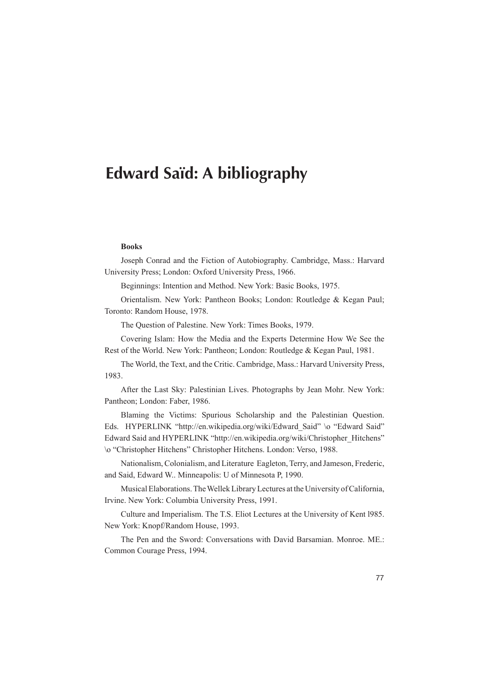## **Edward Saïd: A bibliography**

## **Books**

Joseph Conrad and the Fiction of Autobiography. Cambridge, Mass.: Harvard University Press; London: Oxford University Press, 1966.

Beginnings: Intention and Method. New York: Basic Books, 1975.

Orientalism. New York: Pantheon Books; London: Routledge & Kegan Paul; Toronto: Random House, 1978.

The Question of Palestine. New York: Times Books, 1979.

Covering Islam: How the Media and the Experts Determine How We See the Rest of the World. New York: Pantheon; London: Routledge & Kegan Paul, 1981.

The World, the Text, and the Critic. Cambridge, Mass.: Harvard University Press, 1983.

After the Last Sky: Palestinian Lives. Photographs by Jean Mohr. New York: Pantheon: London: Faber, 1986.

Blaming the Victims: Spurious Scholarship and the Palestinian Question. Eds. HYPERLINK "http://en.wikipedia.org/wiki/Edward Said" \o "Edward Said" Edward Said and HYPERLINK "http://en.wikipedia.org/wiki/Christopher\_Hitchens" \o "Christopher Hitchens" Christopher Hitchens. London: Verso, 1988.

Nationalism, Colonialism, and Literature Eagleton, Terry, and Jameson, Frederic, and Said, Edward W.. Minneapolis: U of Minnesota P, 1990.

Musical Elaborations. The Wellek Library Lectures at the University of California, Irvine. New York: Columbia University Press, 1991.

Culture and Imperialism. The T.S. Eliot Lectures at the University of Kent 1985. New York: Knopf/Random House, 1993.

The Pen and the Sword: Conversations with David Barsamian. Monroe. ME.: Common Courage Press, 1994.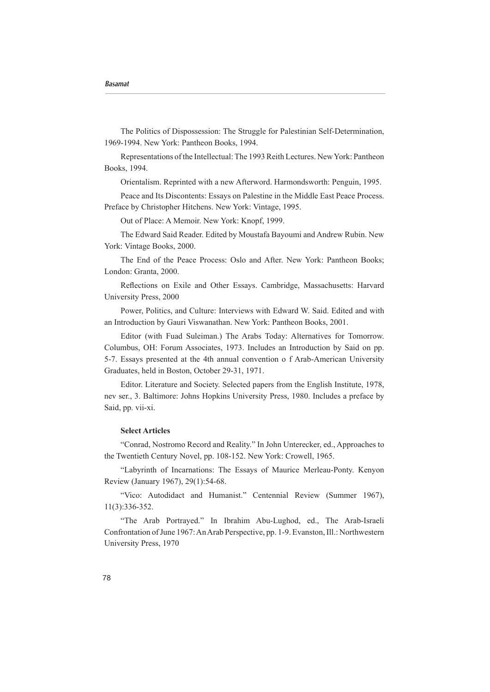The Politics of Dispossession: The Struggle for Palestinian Self-Determination, 1969-1994. New York: Pantheon Books, 1994.

Representations of the Intellectual: The 1993 Reith Lectures. New York: Pantheon Books, 1994.

Orientalism. Reprinted with a new Afterword. Harmondsworth: Penguin, 1995.

Peace and Its Discontents: Essays on Palestine in the Middle East Peace Process. Preface by Christopher Hitchens. New York: Vintage, 1995.

Out of Place: A Memoir. New York: Knopf, 1999.

The Edward Said Reader. Edited by Moustafa Bayoumi and Andrew Rubin. New York: Vintage Books, 2000.

The End of the Peace Process: Oslo and After. New York: Pantheon Books; London: Granta, 2000.

Reflections on Exile and Other Essays. Cambridge, Massachusetts: Harvard University Press, 2000

Power, Politics, and Culture: Interviews with Edward W. Said. Edited and with an Introduction by Gauri Viswanathan. New York: Pantheon Books, 2001.

Editor (with Fuad Suleiman.) The Arabs Today: Alternatives for Tomorrow. Columbus, OH: Forum Associates, 1973. Includes an Introduction by Said on pp. 5-7. Essays presented at the 4th annual convention of Arab-American University Graduates, held in Boston, October 29-31, 1971.

Editor. Literature and Society. Selected papers from the English Institute, 1978, nev ser., 3. Baltimore: Johns Hopkins University Press, 1980. Includes a preface by Said, pp. vii-xi.

## **Select Articles**

"Conrad, Nostromo Record and Reality." In John Unterecker, ed., Approaches to the Twentieth Century Novel, pp. 108-152. New York: Crowell, 1965.

"Labyrinth of Incarnations: The Essays of Maurice Merleau-Ponty. Kenyon Review (January 1967), 29(1):54-68.

"Vico: Autodidact and Humanist." Centennial Review (Summer 1967),  $11(3):336-352.$ 

"The Arab Portrayed." In Ibrahim Abu-Lughod, ed., The Arab-Israeli Confrontation of June 1967: An Arab Perspective, pp. 1-9. Evanston, Ill.: Northwestern University Press, 1970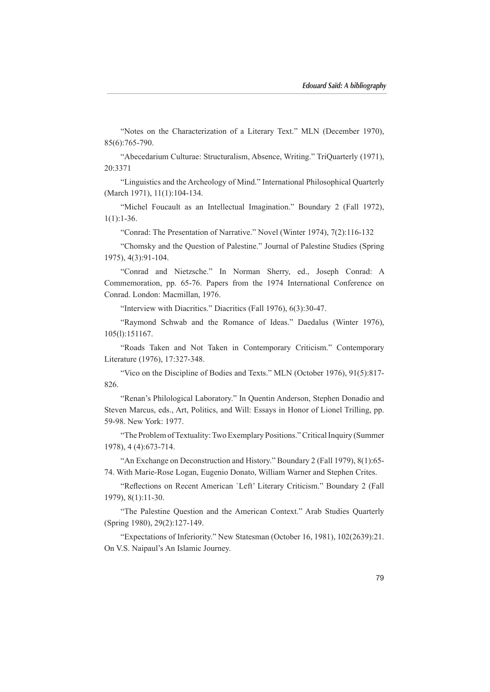"Notes on the Characterization of a Literary Text." MLN (December 1970), 85(6):765-790.

"Abecedarium Culturae: Structuralism, Absence, Writing." TriQuarterly (1971), 20:3371

"Linguistics and the Archeology of Mind." International Philosophical Quarterly (March 1971), 11(1):104-134.

"Michel Foucault as an Intellectual Imagination." Boundary 2 (Fall 1972),  $1(1):1-36.$ 

"Conrad: The Presentation of Narrative." Novel (Winter 1974), 7(2):116-132

"Chomsky and the Question of Palestine." Journal of Palestine Studies (Spring 1975), 4(3):91-104.

"Conrad and Nietzsche." In Norman Sherry, ed., Joseph Conrad: A Commemoration, pp. 65-76. Papers from the 1974 International Conference on Conrad. London: Macmillan, 1976.

"Interview with Diacritics." Diacritics (Fall  $1976$ ),  $6(3)$ : 30-47.

"Raymond Schwab and the Romance of Ideas." Daedalus (Winter 1976), 105(1):151167.

"Roads Taken and Not Taken in Contemporary Criticism." Contemporary Literature (1976), 17:327-348.

"Vico on the Discipline of Bodies and Texts." MLN (October 1976), 91(5):817-826.

"Renan's Philological Laboratory." In Quentin Anderson, Stephen Donadio and Steven Marcus, eds., Art, Politics, and Will: Essays in Honor of Lionel Trilling, pp. 59-98. New York: 1977.

"The Problem of Textuality: Two Exemplary Positions." Critical Inquiry (Summer 1978), 4 (4):673-714.

"An Exchange on Deconstruction and History." Boundary 2 (Fall 1979),  $8(1)$ :65-74. With Marie-Rose Logan, Eugenio Donato, William Warner and Stephen Crites.

"Reflections on Recent American 'Left' Literary Criticism." Boundary 2 (Fall 1979), 8(1):11-30.

"The Palestine Question and the American Context." Arab Studies Quarterly (Spring 1980), 29(2):127-149.

"Expectations of Inferiority." New Statesman (October 16, 1981),  $102(2639):21$ . On V.S. Naipaul's An Islamic Journey.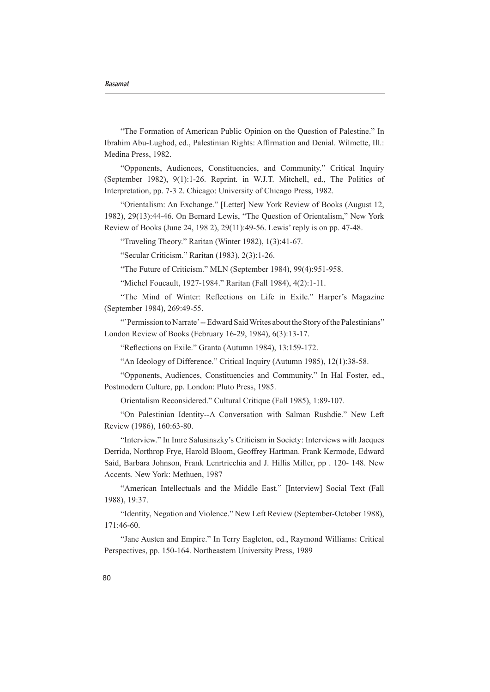"The Formation of American Public Opinion on the Question of Palestine." In Ibrahim Abu-Lughod, ed., Palestinian Rights: Affirmation and Denial. Wilmette, Ill.: Medina Press, 1982.

"Opponents, Audiences, Constituencies, and Community." Critical Inquiry (September 1982),  $9(1):1-26$ . Reprint. in W.J.T. Mitchell, ed., The Politics of Interpretation, pp. 7-3 2. Chicago: University of Chicago Press, 1982.

"Orientalism: An Exchange." [Letter] New York Review of Books (August 12, 1982), 29(13):44-46. On Bernard Lewis, "The Question of Orientalism," New York Review of Books (June 24, 198 2), 29(11):49-56. Lewis' reply is on pp. 47-48.

"Traveling Theory." Raritan (Winter 1982),  $1(3)$ :41-67.

"Secular Criticism." Raritan  $(1983)$ ,  $2(3)$ : 1-26.

"The Future of Criticism." MLN (September 1984),  $99(4)$ : $951-958$ .

"Michel Foucault, 1927-1984." Raritan (Fall 1984), 4(2):1-11.

"The Mind of Winter: Reflections on Life in Exile." Harper's Magazine (September 1984), 269:49-55.

"Permission to Narrate' -- Edward Said Writes about the Story of the Palestinians" London Review of Books (February 16-29, 1984), 6(3):13-17.

"Reflections on Exile." Granta (Autumn 1984),  $13:159-172$ .

"An Ideology of Difference." Critical Inquiry (Autumn 1985),  $12(1)$ :38-58.

"Opponents, Audiences, Constituencies and Community." In Hal Foster, ed., Postmodern Culture, pp. London: Pluto Press, 1985.

Orientalism Reconsidered." Cultural Critique (Fall 1985), 1:89-107.

"On Palestinian Identity--A Conversation with Salman Rushdie." New Left Review (1986), 160:63-80.

"Interview." In Imre Salusinszky's Criticism in Society: Interviews with Jacques Derrida, Northrop Frye, Harold Bloom, Geoffrey Hartman. Frank Kermode, Edward Said, Barbara Johnson, Frank Lenrtricchia and J. Hillis Miller, pp . 120- 148. New Accents. New York: Methuen. 1987

"American Intellectuals and the Middle East." [Interview] Social Text (Fall 19:37.

"Identity, Negation and Violence." New Left Review (September-October 1988), 171:46-60.

"Jane Austen and Empire." In Terry Eagleton, ed., Raymond Williams: Critical Perspectives, pp. 150-164. Northeastern University Press, 1989